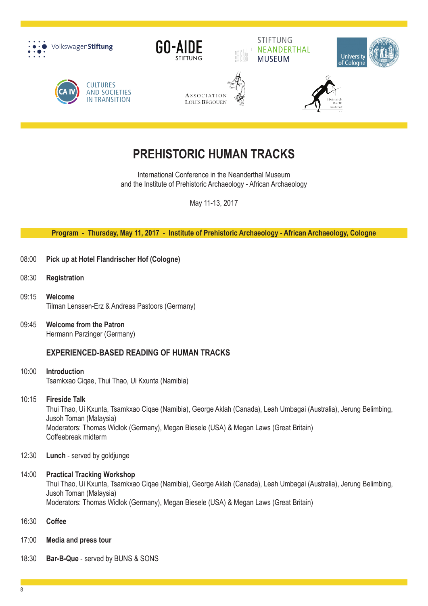

# **PREHISTORIC HUMAN TRACKS**

International Conference in the Neanderthal Museum and the Institute of Prehistoric Archaeology - African Archaeology

May 11-13, 2017

#### **Program - Thursday, May 11, 2017 - Institute of Prehistoric Archaeology - African Archaeology, Cologne**

- 08:00 **Pick up at Hotel Flandrischer Hof (Cologne)**
- 08:30 **Registration**
- 09:15 **Welcome** Tilman Lenssen-Erz & Andreas Pastoors (Germany)
- 09:45 **Welcome from the Patron** Hermann Parzinger (Germany)

# **Experienced-based Reading of Human Tracks**

10:00 **Introduction** Tsamkxao Ciqae, Thui Thao, Ui Kxunta (Namibia)

#### 10:15 **Fireside Talk**

Thui Thao, Ui Kxunta, Tsamkxao Ciqae (Namibia), George Aklah (Canada), Leah Umbagai (Australia), Jerung Belimbing, Jusoh Toman (Malaysia) Moderators: Thomas Widlok (Germany), Megan Biesele (USA) & Megan Laws (Great Britain) Coffeebreak midterm

12:30 **Lunch** - served by goldjunge

#### 14:00 **Practical Tracking Workshop**

Thui Thao, Ui Kxunta, Tsamkxao Ciqae (Namibia), George Aklah (Canada), Leah Umbagai (Australia), Jerung Belimbing, Jusoh Toman (Malaysia) Moderators: Thomas Widlok (Germany), Megan Biesele (USA) & Megan Laws (Great Britain)

- 16:30 **Coffee**
- 17:00 **Media and press tour**
- 18:30 **Bar-B-Que** served by BUNS & SONS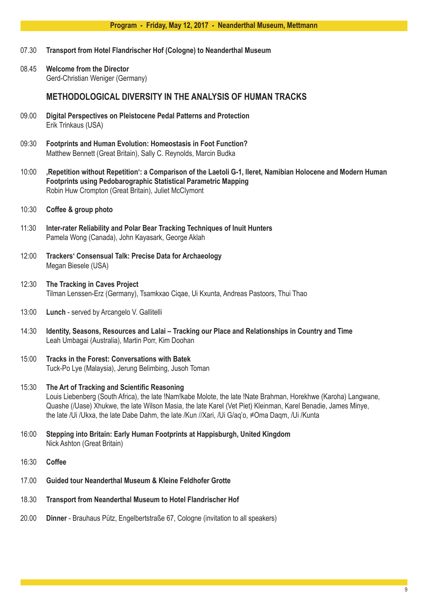#### **Program - Friday, May 12, 2017 - Neanderthal Museum, Mettmann**

- 07.30 **Transport from Hotel Flandrischer Hof (Cologne) to Neanderthal Museum**
- 08.45 **Welcome from the Director** Gerd-Christian Weniger (Germany)

## **Methodological Diversity in the Analysis of Human Tracks**

- 09.00 **Digital Perspectives on Pleistocene Pedal Patterns and Protection** Erik Trinkaus (USA)
- 09:30 **Footprints and Human Evolution: Homeostasis in Foot Function?** Matthew Bennett (Great Britain), Sally C. Reynolds, Marcin Budka
- 10:00 **'Repetition without Repetition': a Comparison of the Laetoli G-1, Ileret, Namibian Holocene and Modern Human Footprints using Pedobarographic Statistical Parametric Mapping** Robin Huw Crompton (Great Britain), Juliet McClymont
- 10:30 **Coffee & group photo**
- 11:30 **Inter-rater Reliability and Polar Bear Tracking Techniques of Inuit Hunters** Pamela Wong (Canada), John Kayasark, George Aklah
- 12:00 **Trackers' Consensual Talk: Precise Data for Archaeology** Megan Biesele (USA)
- 12:30 **The Tracking in Caves Project** Tilman Lenssen-Erz (Germany), Tsamkxao Ciqae, Ui Kxunta, Andreas Pastoors, Thui Thao
- 13:00 **Lunch** served by Arcangelo V. Gallitelli
- 14:30 **Identity, Seasons, Resources and Lalai Tracking our Place and Relationships in Country and Time** Leah Umbagai (Australia), Martin Porr, Kim Doohan
- 15:00 **Tracks in the Forest: Conversations with Batek** Tuck-Po Lye (Malaysia), Jerung Belimbing, Jusoh Toman
- 15:30 **The Art of Tracking and Scientific Reasoning** Louis Liebenberg (South Africa), the late !Nam!kabe Molote, the late !Nate Brahman, Horekhwe (Karoha) Langwane, Quashe (/Uase) Xhukwe, the late Wilson Masia, the late Karel (Vet Piet) Kleinman, Karel Benadie, James Minye, the late /Ui /Ukxa, the late Dabe Dahm, the late /Kun //Xari, /Ui G/aq'o, ≠Oma Daqm, /Ui /Kunta
- 16:00 **Stepping into Britain: Early Human Footprints at Happisburgh, United Kingdom** Nick Ashton (Great Britain)
- 16:30 **Coffee**
- 17.00 **Guided tour Neanderthal Museum & Kleine Feldhofer Grotte**
- 18.30 **Transport from Neanderthal Museum to Hotel Flandrischer Hof**
- 20.00 **Dinner** Brauhaus Pütz, Engelbertstraße 67, Cologne (invitation to all speakers)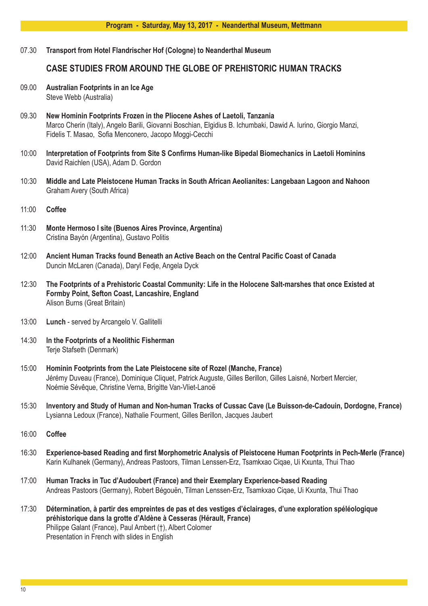07.30 **Transport from Hotel Flandrischer Hof (Cologne) to Neanderthal Museum**

# **Case Studies from around the Globe of Prehistoric Human Tracks**

- 09.00 **Australian Footprints in an Ice Age** Steve Webb (Australia)
- 09.30 **New Hominin Footprints Frozen in the Pliocene Ashes of Laetoli, Tanzania** Marco Cherin (Italy), Angelo Barili, Giovanni Boschian, Elgidius B. Ichumbaki, Dawid A. Iurino, Giorgio Manzi, Fidelis T. Masao, Sofia Menconero, Jacopo Moggi-Cecchi
- 10:00 **Interpretation of Footprints from Site S Confirms Human-like Bipedal Biomechanics in Laetoli Hominins** David Raichlen (USA), Adam D. Gordon
- 10:30 **Middle and Late Pleistocene Human Tracks in South African Aeolianites: Langebaan Lagoon and Nahoon** Graham Avery (South Africa)
- 11:00 **Coffee**
- 11:30 **Monte Hermoso I site (Buenos Aires Province, Argentina)** Cristina Bayón (Argentina), Gustavo Politis
- 12:00 **Ancient Human Tracks found Beneath an Active Beach on the Central Pacific Coast of Canada** Duncin McLaren (Canada), Daryl Fedje, Angela Dyck
- 12:30 **The Footprints of a Prehistoric Coastal Community: Life in the Holocene Salt-marshes that once Existed at Formby Point, Sefton Coast, Lancashire, England** Alison Burns (Great Britain)
- 13:00 **Lunch** served by Arcangelo V. Gallitelli
- 14:30 **In the Footprints of a Neolithic Fisherman** Terje Stafseth (Denmark)
- 15:00 **Hominin Footprints from the Late Pleistocene site of Rozel (Manche, France)** Jérémy Duveau (France), Dominique Cliquet, Patrick Auguste, Gilles Berillon, Gilles Laisné, Norbert Mercier, Noémie Sévêque, Christine Verna, Brigitte Van-Vliet-Lanoë
- 15:30 **Inventory and Study of Human and Non-human Tracks of Cussac Cave (Le Buisson-de-Cadouin, Dordogne, France)** Lysianna Ledoux (France), Nathalie Fourment, Gilles Berillon, Jacques Jaubert
- 16:00 **Coffee**
- 16:30 **Experience-based Reading and first Morphometric Analysis of Pleistocene Human Footprints in Pech-Merle (France)** Karin Kulhanek (Germany), Andreas Pastoors, Tilman Lenssen-Erz, Tsamkxao Ciqae, Ui Kxunta, Thui Thao
- 17:00 **Human Tracks in Tuc d'Audoubert (France) and their Exemplary Experience-based Reading** Andreas Pastoors (Germany), Robert Bégouën, Tilman Lenssen-Erz, Tsamkxao Ciqae, Ui Kxunta, Thui Thao
- 17:30 **Détermination, à partir des empreintes de pas et des vestiges d'éclairages, d'une exploration spéléologique préhistorique dans la grotte d'Aldène à Cesseras (Hérault, France)** Philippe Galant (France), Paul Ambert (†), Albert Colomer Presentation in French with slides in English